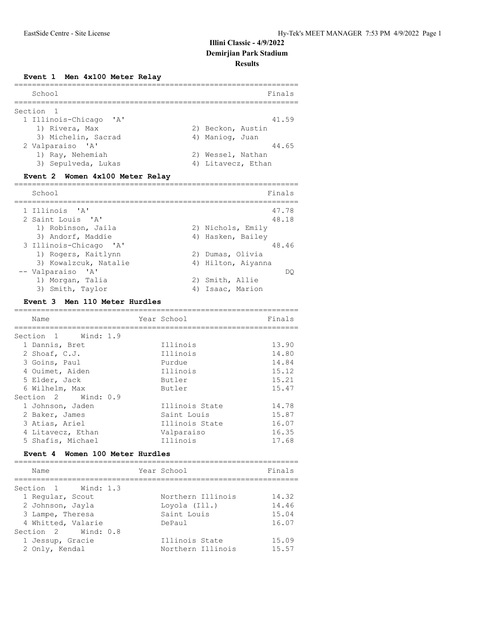#### **Event 1 Men 4x100 Meter Relay**

| School                 | Finals             |
|------------------------|--------------------|
| Section 1              |                    |
| 1 Illinois-Chicago 'A' | 41.59              |
| 1) Rivera, Max         | 2) Beckon, Austin  |
| 3) Michelin, Sacrad    | 4) Maniog, Juan    |
| 2 Valparaiso 'A'       | 44.65              |
| 1) Ray, Nehemiah       | 2) Wessel, Nathan  |
| 3) Sepulveda, Lukas    | 4) Litavecz, Ethan |

#### **Event 2 Women 4x100 Meter Relay**

| School                 | Finals             |
|------------------------|--------------------|
|                        |                    |
| 1 Illinois 'A'         | 47.78              |
| 2 Saint Louis 'A'      | 48.18              |
| 1) Robinson, Jaila     | 2) Nichols, Emily  |
| 3) Andorf, Maddie      | 4) Hasken, Bailey  |
| 3 Illinois-Chicago 'A' | 48.46              |
| 1) Rogers, Kaitlynn    | 2) Dumas, Olivia   |
| 3) Kowalzcuk, Natalie  | 4) Hilton, Aiyanna |
| -- Valparaiso 'A'      | DO                 |
| 1) Morgan, Talia       | 2) Smith, Allie    |
| 3) Smith, Taylor       | Isaac, Marion      |

#### **Event 3 Men 110 Meter Hurdles**

Section 2 Wind: 0.8

| Name                            | Year School        | Finals |
|---------------------------------|--------------------|--------|
| Section 1 Wind: 1.9             | ------------------ |        |
| 1 Dannis, Bret                  | Illinois           | 13.90  |
| 2 Shoaf, C.J.                   | Illinois           | 14.80  |
| 3 Goins, Paul                   | Purdue             | 14.84  |
| 4 Ouimet, Aiden                 | Illinois           | 15.12  |
| 5 Elder, Jack                   | Butler             | 15.21  |
| 6 Wilhelm, Max                  | Butler             | 15.47  |
| Section 2 Wind: 0.9             |                    |        |
| 1 Johnson, Jaden                | Illinois State     | 14.78  |
| 2 Baker, James                  | Saint Louis        | 15.87  |
| 3 Atias, Ariel                  | Illinois State     | 16.07  |
| 4 Litavecz, Ethan               | Valparaiso         | 16.35  |
| 5 Shafis, Michael               | Illinois           | 17.68  |
| Event 4 Women 100 Meter Hurdles |                    |        |
|                                 |                    |        |
| Name                            | Year School        | Finals |
| Section 1 Wind: 1.3             |                    |        |
| 1 Regular, Scout                | Northern Illinois  | 14.32  |

 2 Johnson, Jayla Loyola (Ill.) 14.46 3 Lampe, Theresa Saint Louis 15.04 4 Whitted, Valarie 16.07

 1 Jessup, Gracie Illinois State 15.09 2 Only, Kendal Northern Illinois 15.57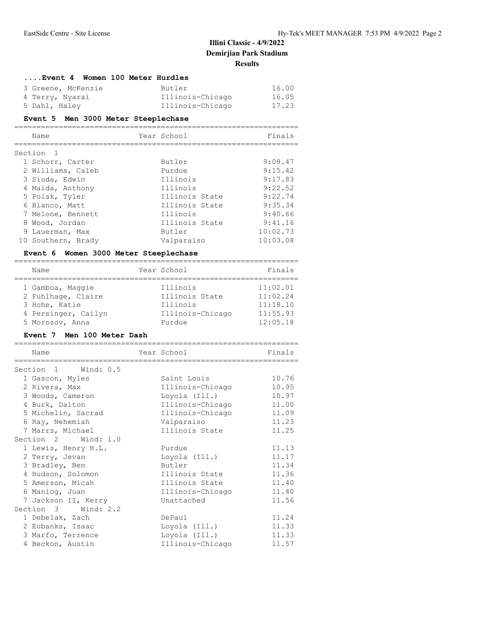| Event 4 Women 100 Meter Hurdles          |                  |         |
|------------------------------------------|------------------|---------|
| 3 Greene, McKenzie                       | Butler           | 16.00   |
| 4 Terry, Nyarai                          | Illinois-Chicago | 16.05   |
| 5 Dahl, Haley                            | Illinois-Chicago | 17.23   |
| Event 5 Men 3000 Meter Steeplechase      |                  |         |
| Name                                     | Year School      | Finals  |
| Section <sub>1</sub><br>1 Schorr, Carter | Butler           | 9:08.47 |

| 2 Williams, Caleb  | Purdue         | 9:15.42  |
|--------------------|----------------|----------|
| 3 Siuda, Edwin     | Illinois       | 9:17.83  |
| 4 Maida, Anthony   | Illinois       | 9:22.52  |
| 5 Polak, Tyler     | Illinois State | 9:22.74  |
| 6 Blanco, Matt     | Illinois State | 9:35.34  |
| 7 Melone, Bennett  | Illinois       | 9:40.66  |
| 8 Wood, Jordan     | Illinois State | 9:41.16  |
| 9 Lauerman, Max    | Butler         | 10:02.73 |
| 10 Southern, Brady | Valparaiso     | 10:03.08 |

## **Event 6 Women 3000 Meter Steeplechase**

| Name                | Year School      | Finals   |
|---------------------|------------------|----------|
|                     |                  |          |
| 1 Gamboa, Maggie    | Illinois         | 11:02.01 |
| 2 Fuhlhage, Claire  | Illinois State   | 11:02.24 |
| 3 Hohe, Katie       | Illinois         | 11:18.10 |
| 4 Persinger, Cailyn | Illinois-Chicago | 11:55.93 |
| 5 Morozov, Anna     | Purdue           | 12:05.18 |

## **Event 7 Men 100 Meter Dash**

| Name                | Year School              | Finals |
|---------------------|--------------------------|--------|
| Section 1 Wind: 0.5 | ------------------------ |        |
| 1 Gascon, Myles     | Saint Louis              | 10.76  |
| 2 Rivera, Max       | Illinois-Chicago         | 10.95  |
|                     |                          |        |
| 3 Woods, Cameron    | Loyola (Ill.)            | 10.97  |
| 4 Burk, Dalton      | Illinois-Chicago         | 11.00  |
| 5 Michelin, Sacrad  | Illinois-Chicago         | 11.09  |
| 6 Ray, Nehemiah     | Valparaiso               | 11.23  |
| 7 Marrs, Michael    | Illinois State           | 11.25  |
| Section 2 Wind: 1.0 |                          |        |
| 1 Lewis, Henry H.L. | Purdue                   | 11.13  |
| 2 Terry, Jevan      | Loyola (Ill.)            | 11.17  |
| 3 Bradley, Ben      | Butler                   | 11.34  |
| 4 Hudson, Solomon   | Illinois State           | 11.36  |
| 5 Amerson, Micah    | Illinois State           | 11.40  |
| 6 Maniog, Juan      | Illinois-Chicago         | 11.40  |
| 7 Jackson II, Kerry | Unattached               | 11.56  |
| Section 3 Wind: 2.2 |                          |        |
| 1 Debelak, Zach     | DePaul                   | 11.24  |
| 2 Eubanks, Isaac    | Loyola (Ill.)            | 11.33  |
| 3 Marfo, Terrence   | Loyola (Ill.)            | 11.33  |
| 4 Beckon, Austin    | Illinois-Chicago         | 11.57  |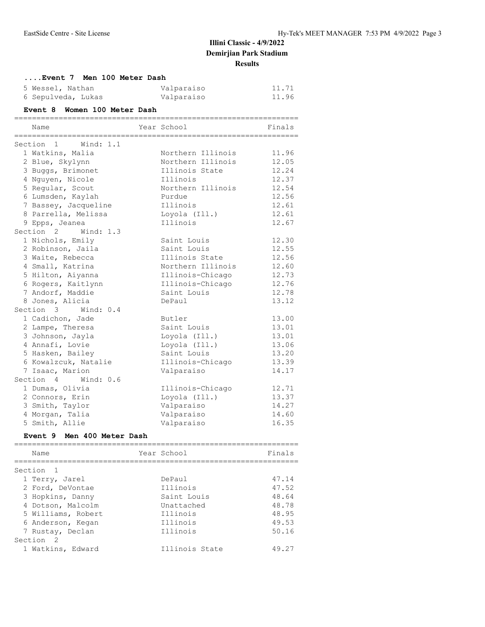| Event 7 Men 100 Meter Dash           |  |                                 |                |  |
|--------------------------------------|--|---------------------------------|----------------|--|
| 5 Wessel, Nathan                     |  | Valparaiso                      | 11.71          |  |
| 6 Sepulveda, Lukas                   |  | Valparaiso                      | 11.96          |  |
|                                      |  |                                 |                |  |
| Event 8 Women 100 Meter Dash         |  |                                 |                |  |
| Name                                 |  | Year School                     | Finals         |  |
|                                      |  |                                 |                |  |
| Section 1 Wind: 1.1                  |  |                                 |                |  |
| 1 Watkins, Malia                     |  | Northern Illinois               | 11.96          |  |
| 2 Blue, Skylynn                      |  | Northern Illinois               | 12.05          |  |
| 3 Buggs, Brimonet                    |  | Illinois State                  | 12.24          |  |
| 4 Nguyen, Nicole                     |  | Illinois                        | 12.37          |  |
| 5 Regular, Scout                     |  | Northern Illinois               | 12.54          |  |
| 6 Lumsden, Kaylah                    |  | Purdue                          | 12.56          |  |
| 7 Bassey, Jacqueline                 |  | Illinois                        | 12.61          |  |
| 8 Parrella, Melissa                  |  | Loyola (Ill.)                   | 12.61          |  |
| 9 Epps, Jeanea                       |  | Illinois                        | 12.67          |  |
| Section 2 Wind: 1.3                  |  |                                 |                |  |
| 1 Nichols, Emily                     |  | Saint Louis                     | 12.30          |  |
| 2 Robinson, Jaila                    |  | Saint Louis<br>Illinois State   | 12.55<br>12.56 |  |
| 3 Waite, Rebecca<br>4 Small, Katrina |  | Northern Illinois               | 12.60          |  |
| 5 Hilton, Aiyanna                    |  | Illinois-Chicago                | 12.73          |  |
|                                      |  |                                 | 12.76          |  |
| 6 Rogers, Kaitlynn                   |  | Illinois-Chicago<br>Saint Louis | 12.78          |  |
| 7 Andorf, Maddie<br>8 Jones, Alicia  |  | DePaul                          | 13.12          |  |
| Section 3 Wind: 0.4                  |  |                                 |                |  |
| 1 Cadichon, Jade                     |  | Butler                          | 13.00          |  |
| 2 Lampe, Theresa                     |  | Saint Louis                     | 13.01          |  |
| 3 Johnson, Jayla                     |  | Loyola (Ill.)                   | 13.01          |  |
| 4 Annafi, Lovie                      |  | Loyola (Ill.)                   | 13.06          |  |
| 5 Hasken, Bailey                     |  | Saint Louis                     | 13.20          |  |
| 6 Kowalzcuk, Natalie                 |  | Illinois-Chicago                | 13.39          |  |
| 7 Isaac, Marion                      |  | Valparaiso                      | 14.17          |  |
| Section 4 Wind: 0.6                  |  |                                 |                |  |
| 1 Dumas, Olivia                      |  | Illinois-Chicago                | 12.71          |  |
| 2 Connors, Erin                      |  | Loyola (Ill.)                   | 13.37          |  |
| 3 Smith, Taylor                      |  | Valparaiso                      | 14.27          |  |
| 4 Morgan, Talia                      |  | Valparaiso                      | 14.60          |  |
| 5 Smith, Allie                       |  | Valparaiso                      | 16.35          |  |
| Event 9 Men 400 Meter Dash           |  |                                 |                |  |
| Name                                 |  | Year School                     | Finals         |  |
|                                      |  |                                 |                |  |
| Section<br>1                         |  |                                 |                |  |
| 1 Terry, Jarel                       |  | DePaul                          | 47.14          |  |
| 2 Ford, DeVontae                     |  | Illinois                        | 47.52          |  |
| 3 Hopkins, Danny                     |  | Saint Louis                     | 48.64          |  |
| 4 Dotson, Malcolm                    |  | Unattached                      | 48.78          |  |
| 5 Williams, Robert                   |  | Illinois                        | 48.95          |  |
| 6 Anderson, Kegan                    |  | Illinois                        | 49.53          |  |
| 7 Rustay, Declan                     |  | Illinois                        | 50.16          |  |
| Section 2                            |  |                                 |                |  |

1 Watkins, Edward **Illinois State** 49.27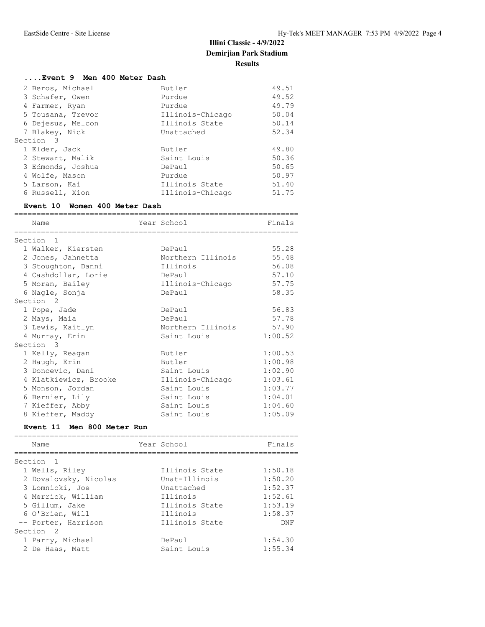## **....Event 9 Men 400 Meter Dash**

| 2 Beros, Michael  | Butler           | 49.51 |
|-------------------|------------------|-------|
| 3 Schafer, Owen   | Purdue           | 49.52 |
| 4 Farmer, Ryan    | Purdue           | 49.79 |
| 5 Tousana, Trevor | Illinois-Chicago | 50.04 |
| 6 Dejesus, Melcon | Illinois State   | 50.14 |
| 7 Blakey, Nick    | Unattached       | 52.34 |
| Section 3         |                  |       |
| 1 Elder, Jack     | Butler           | 49.80 |
| 2 Stewart, Malik  | Saint Louis      | 50.36 |
| 3 Edmonds, Joshua | DePaul           | 50.65 |
| 4 Wolfe, Mason    | Purdue           | 50.97 |
| 5 Larson, Kai     | Illinois State   | 51.40 |
| 6 Russell, Xion   | Illinois-Chicago | 51.75 |
|                   |                  |       |

#### **Event 10 Women 400 Meter Dash**

| Name                  | Year School       | Finals  |
|-----------------------|-------------------|---------|
| Section<br>- 1        |                   |         |
| 1 Walker, Kiersten    | DePaul            | 55.28   |
| 2 Jones, Jahnetta     | Northern Illinois | 55.48   |
| 3 Stoughton, Danni    | Illinois          | 56.08   |
| 4 Cashdollar, Lorie   | DePaul            | 57.10   |
| 5 Moran, Bailey       | Illinois-Chicago  | 57.75   |
|                       | DePaul            | 58.35   |
| 6 Nagle, Sonja        |                   |         |
| Section 2             |                   |         |
| 1 Pope, Jade          | DePaul            | 56.83   |
| 2 Mays, Maia          | DePaul            | 57.78   |
| 3 Lewis, Kaitlyn      | Northern Illinois | 57.90   |
| 4 Murray, Erin        | Saint Louis       | 1:00.52 |
| Section 3             |                   |         |
| 1 Kelly, Reagan       | Butler            | 1:00.53 |
| 2 Haugh, Erin         | Butler            | 1:00.98 |
| 3 Doncevic, Dani      | Saint Louis       | 1:02.90 |
| 4 Klatkiewicz, Brooke | Illinois-Chicago  | 1:03.61 |
| 5 Monson, Jordan      | Saint Louis       | 1:03.77 |
| 6 Bernier, Lily       | Saint Louis       | 1:04.01 |
| 7 Kieffer, Abby       | Saint Louis       | 1:04.60 |
| 8 Kieffer, Maddy      | Saint Louis       | 1:05.09 |

#### **Event 11 Men 800 Meter Run**

| Name                  | Year School    | Finals  |
|-----------------------|----------------|---------|
| Section <sub>1</sub>  |                |         |
| 1 Wells, Riley        | Illinois State | 1:50.18 |
| 2 Dovalovsky, Nicolas | Unat-Illinois  | 1:50.20 |
| 3 Lomnicki, Joe       | Unattached     | 1:52.37 |
| 4 Merrick, William    | Illinois       | 1:52.61 |
| 5 Gillum, Jake        | Illinois State | 1:53.19 |
| 6 O'Brien, Will       | Illinois       | 1:58.37 |
| -- Porter, Harrison   | Illinois State | DNF     |
| Section <sub>2</sub>  |                |         |
| 1 Parry, Michael      | DePaul         | 1:54.30 |
| 2 De Haas, Matt       | Saint Louis    | 1:55.34 |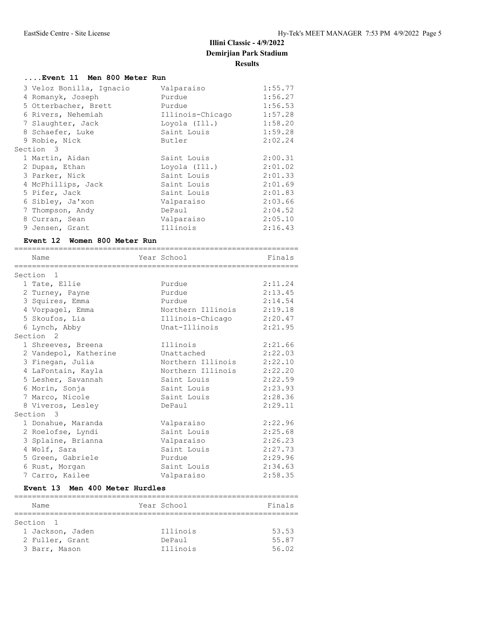## **....Event 11 Men 800 Meter Run**

| 3 Veloz Bonilla, Ignacio | Valparaiso       | 1:55.77 |
|--------------------------|------------------|---------|
| 4 Romanyk, Joseph        | Purdue           | 1:56.27 |
| 5 Otterbacher, Brett     | Purdue           | 1:56.53 |
| 6 Rivers, Nehemiah       | Illinois-Chicago | 1:57.28 |
| 7 Slaughter, Jack        | Loyola (Ill.)    | 1:58.20 |
| 8 Schaefer, Luke         | Saint Louis      | 1:59.28 |
| 9 Robie, Nick            | Butler           | 2:02.24 |
| Section 3                |                  |         |
| 1 Martin, Aidan          | Saint Louis      | 2:00.31 |
| 2 Dupas, Ethan           | Loyola (Ill.)    | 2:01.02 |
| 3 Parker, Nick           | Saint Louis      | 2:01.33 |
| 4 McPhillips, Jack       | Saint Louis      | 2:01.69 |
| 5 Pifer, Jack            | Saint Louis      | 2:01.83 |
| 6 Sibley, Ja'xon         | Valparaiso       | 2:03.66 |
| 7 Thompson, Andy         | DePaul           | 2:04.52 |
| 8 Curran, Sean           | Valparaiso       | 2:05.10 |
| 9 Jensen, Grant          | Illinois         | 2:16.43 |

### **Event 12 Women 800 Meter Run**

| Name                  | Year School              | Finals  |
|-----------------------|--------------------------|---------|
| Section <sub>1</sub>  |                          |         |
| 1 Tate, Ellie         | Purdue                   | 2:11.24 |
| 2 Turney, Payne       | Purdue                   | 2:13.45 |
| 3 Squires, Emma       | Purdue                   | 2:14.54 |
| 4 Vorpagel, Emma      | Northern Illinois        | 2:19.18 |
| 5 Skoufos, Lia        | Illinois-Chicago 2:20.47 |         |
| 6 Lynch, Abby         | Unat-Illinois            | 2:21.95 |
| Section <sub>2</sub>  |                          |         |
| 1 Shreeves, Breena    | Illinois                 | 2:21.66 |
| 2 Vandepol, Katherine | Unattached               | 2:22.03 |
| 3 Finegan, Julia      | Northern Illinois        | 2:22.10 |
| 4 LaFontain, Kayla    | Northern Illinois        | 2:22.20 |
| 5 Lesher, Savannah    | Saint Louis              | 2:22.59 |
| 6 Morin, Sonja        | Saint Louis              | 2:23.93 |
| 7 Marco, Nicole       | Saint Louis              | 2:28.36 |
| 8 Viveros, Lesley     | DePaul                   | 2:29.11 |
| Section 3             |                          |         |
| 1 Donahue, Maranda    | Valparaiso               | 2:22.96 |
| 2 Roelofse, Lyndi     | Saint Louis              | 2:25.68 |
| 3 Splaine, Brianna    | Valparaiso               | 2:26.23 |
| 4 Wolf, Sara          | Saint Louis              | 2:27.73 |
| 5 Green, Gabriele     | Purdue                   | 2:29.96 |
| 6 Rust, Morgan        | Saint Louis              | 2:34.63 |
| 7 Carro, Kailee       | Valparaiso               | 2:58.35 |

### **Event 13 Men 400 Meter Hurdles**

| Name             | Year School | Finals |
|------------------|-------------|--------|
|                  |             |        |
| Section 1        |             |        |
| 1 Jackson, Jaden | Illinois    | 53.53  |
| 2 Fuller, Grant  | DePaul      | 55.87  |
| 3 Barr, Mason    | Illinois    | 56.02  |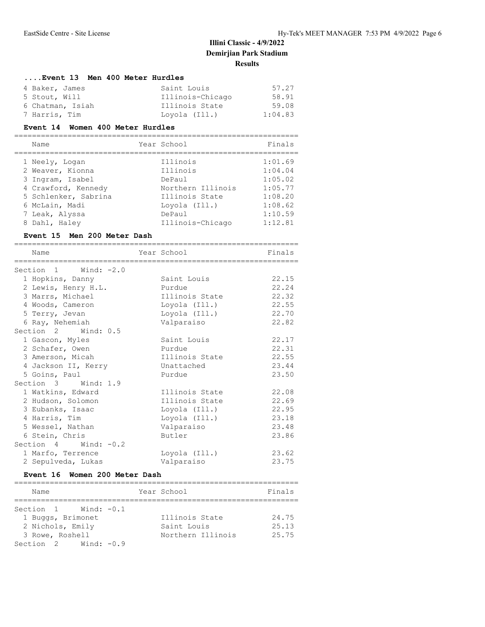#### **....Event 13 Men 400 Meter Hurdles**

| 4 Baker, James   | Saint Louis      | 57.27   |
|------------------|------------------|---------|
| 5 Stout, Will    | Illinois-Chicago | 58.91   |
| 6 Chatman, Isiah | Illinois State   | 59.08   |
| 7 Harris, Tim    | Lovola (Ill.)    | 1:04.83 |

#### **Event 14 Women 400 Meter Hurdles**

| Name                 | Year School       | Finals  |
|----------------------|-------------------|---------|
|                      |                   |         |
| 1 Neely, Logan       | Illinois          | 1:01.69 |
| 2 Weaver, Kionna     | Illinois          | 1:04.04 |
| 3 Ingram, Isabel     | DePaul            | 1:05.02 |
| 4 Crawford, Kennedy  | Northern Illinois | 1:05.77 |
| 5 Schlenker, Sabrina | Illinois State    | 1:08.20 |

 6 McLain, Madi Loyola (Ill.) 1:08.62 7 Leak, Alyssa DePaul 1:10.59 8 Dahl, Haley Illinois-Chicago 1:12.81

#### **Event 15 Men 200 Meter Dash**

| Name                     | Year School    | Finals |
|--------------------------|----------------|--------|
|                          |                |        |
| Section 1 Wind: -2.0     |                |        |
| 1 Hopkins, Danny         | Saint Louis    | 22.15  |
| 2 Lewis, Henry H.L.      | Purdue         | 22.24  |
| 3 Marrs, Michael         | Illinois State | 22.32  |
| 4 Woods, Cameron         | Loyola (Ill.)  | 22.55  |
| 5 Terry, Jevan           | Loyola (Ill.)  | 22.70  |
| 6 Ray, Nehemiah          | Valparaiso     | 22.82  |
| Section 2 Wind: 0.5      |                |        |
| 1 Gascon, Myles          | Saint Louis    | 22.17  |
| 2 Schafer, Owen          | Purdue         | 22.31  |
| 3 Amerson, Micah         | Illinois State | 22.55  |
| 4 Jackson II, Kerry      | Unattached     | 23.44  |
| 5 Goins, Paul            | Purdue         | 23.50  |
| Section 3 Wind: 1.9      |                |        |
| 1 Watkins, Edward        | Illinois State | 22.08  |
| 2 Hudson, Solomon        | Illinois State | 22.69  |
| 3 Eubanks, Isaac         | Loyola (Ill.)  | 22.95  |
| 4 Harris, Tim            | Loyola (Ill.)  | 23.18  |
| 5 Wessel, Nathan         | Valparaiso     | 23.48  |
|                          |                |        |
| 6 Stein, Chris           | Butler         | 23.86  |
| Section $4$ Wind: $-0.2$ |                |        |
| 1 Marfo, Terrence        | Loyola (Ill.)  | 23.62  |
| 2 Sepulveda, Lukas       | Valparaiso     | 23.75  |

#### **Event 16 Women 200 Meter Dash**

| Name                     | Year School       | Finals |
|--------------------------|-------------------|--------|
|                          |                   |        |
| Section $1$ Wind: $-0.1$ |                   |        |
| 1 Buggs, Brimonet        | Illinois State    | 24.75  |
| 2 Nichols, Emily         | Saint Louis       | 25.13  |
| 3 Rowe, Roshell          | Northern Illinois | 25.75  |
| Section $2$ Wind: $-0.9$ |                   |        |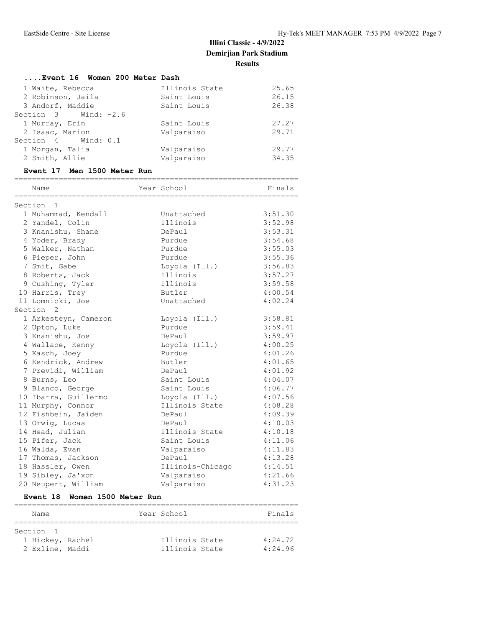| Event 16 Women 200 Meter Dash |                |       |
|-------------------------------|----------------|-------|
| 1 Waite, Rebecca              | Illinois State | 25.65 |
| 2 Robinson, Jaila             | Saint Louis    | 26.15 |
| 3 Andorf, Maddie              | Saint Louis    | 26.38 |
| Section $3$ Wind: $-2.6$      |                |       |
| 1 Murray, Erin                | Saint Louis    | 27.27 |
| 2 Isaac, Marion               | Valparaiso     | 29.71 |
| Section 4 Wind: 0.1           |                |       |
| 1 Morgan, Talia               | Valparaiso     | 29.77 |
| 2 Smith, Allie                | Valparaiso     | 34.35 |

#### **Event 17 Men 1500 Meter Run**

| Name                 | Year School      | Finals  |
|----------------------|------------------|---------|
| Section <sub>1</sub> |                  |         |
| 1 Muhammad, Kendall  | Unattached       | 3:51.30 |
| 2 Yandel, Colin      | Illinois         | 3:52.98 |
| 3 Knanishu, Shane    | DePaul           | 3:53.31 |
| 4 Yoder, Brady       | Purdue           | 3:54.68 |
| 5 Walker, Nathan     | Purdue           | 3:55.03 |
| 6 Pieper, John       | Purdue           | 3:55.36 |
| 7 Smit, Gabe         | Loyola (Ill.)    | 3:56.83 |
| 8 Roberts, Jack      | Illinois         | 3:57.27 |
| 9 Cushing, Tyler     | Illinois         | 3:59.58 |
| 10 Harris, Trey      | Butler           | 4:00.54 |
| 11 Lomnicki, Joe     | Unattached       | 4:02.24 |
| Section <sub>2</sub> |                  |         |
| 1 Arkesteyn, Cameron | Loyola (Ill.)    | 3:58.81 |
| 2 Upton, Luke        | Purdue           | 3:59.41 |
| 3 Knanishu, Joe      | DePaul           | 3:59.97 |
| 4 Wallace, Kenny     | Loyola (Ill.)    | 4:00.25 |
| 5 Kasch, Joey        | Purdue           | 4:01.26 |
| 6 Kendrick, Andrew   | Butler           | 4:01.65 |
| 7 Previdi, William   | DePaul           | 4:01.92 |
| 8 Burns, Leo         | Saint Louis      | 4:04.07 |
| 9 Blanco, George     | Saint Louis      | 4:06.77 |
| 10 Ibarra, Guillermo | Loyola (Ill.)    | 4:07.56 |
| 11 Murphy, Connor    | Illinois State   | 4:08.28 |
| 12 Fishbein, Jaiden  | DePaul           | 4:09.39 |
| 13 Orwig, Lucas      | DePaul           | 4:10.03 |
| 14 Head, Julian      | Illinois State   | 4:10.18 |
| 15 Pifer, Jack       | Saint Louis      | 4:11.06 |
| 16 Walda, Evan       | Valparaiso       | 4:11.83 |
| 17 Thomas, Jackson   | DePaul           | 4:13.28 |
| 18 Hassler, Owen     | Illinois-Chicago | 4:14.51 |
| 19 Sibley, Ja'xon    | Valparaiso       | 4:21.66 |
| 20 Neupert, William  | Valparaiso       | 4:31.23 |

# **Event 18 Women 1500 Meter Run**

| Name             |  | Year School    | Finals  |  |
|------------------|--|----------------|---------|--|
|                  |  |                |         |  |
| Section 1        |  |                |         |  |
| 1 Hickey, Rachel |  | Illinois State | 4:24.72 |  |
| 2 Exline, Maddi  |  | Illinois State | 4:24.96 |  |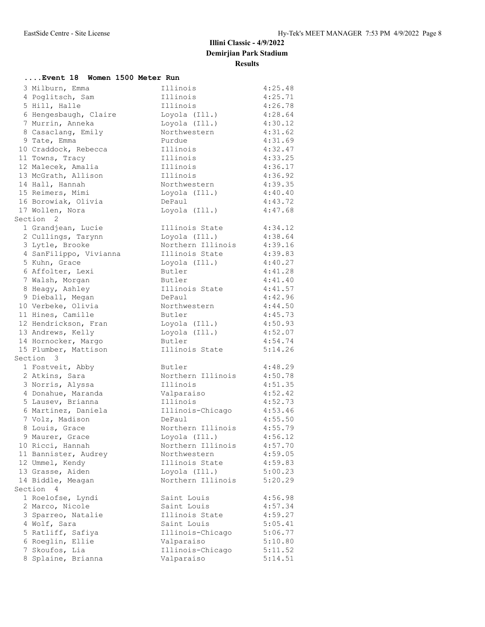| Event 18 Women 1500 Meter Run |                           |         |
|-------------------------------|---------------------------|---------|
| 3 Milburn, Emma               | Illinois                  | 4:25.48 |
| 4 Poglitsch, Sam              | Illinois                  | 4:25.71 |
| 5 Hill, Halle                 | Illinois                  | 4:26.78 |
| 6 Hengesbaugh, Claire         | Loyola (Ill.)             | 4:28.64 |
| 7 Murrin, Anneka              | Loyola (Ill.)             | 4:30.12 |
| 8 Casaclang, Emily            | Northwestern              | 4:31.62 |
| 9 Tate, Emma                  | Purdue                    | 4:31.69 |
| 10 Craddock, Rebecca          | Illinois                  | 4:32.47 |
| 11 Towns, Tracy               | Illinois                  | 4:33.25 |
| 12 Malecek, Amalia            | Illinois                  | 4:36.17 |
| 13 McGrath, Allison           | Illinois                  | 4:36.92 |
| 14 Hall, Hannah               | Northwestern              | 4:39.35 |
| 15 Reimers, Mimi              | Loyola (Ill.)             | 4:40.40 |
| 16 Borowiak, Olivia           | DePaul                    | 4:43.72 |
| 17 Wollen, Nora               | Loyola (Ill.)             | 4:47.68 |
| Section 2                     |                           |         |
| 1 Grandjean, Lucie            | Illinois State            | 4:34.12 |
| 2 Cullings, Tarynn            | Loyola (Ill.)             | 4:38.64 |
| 3 Lytle, Brooke               | Northern Illinois 4:39.16 |         |
| 4 SanFilippo, Vivianna        | Illinois State            | 4:39.83 |
| 5 Kuhn, Grace                 | Loyola (Ill.)             | 4:40.27 |
| 6 Affolter, Lexi              | Butler                    | 4:41.28 |
| 7 Walsh, Morgan               | Butler                    | 4:41.40 |
| 8 Heagy, Ashley               | Illinois State            | 4:41.57 |
| 9 Dieball, Megan              | DePaul                    | 4:42.96 |
| 10 Verbeke, Olivia            | Northwestern              | 4:44.50 |
| 11 Hines, Camille             | Butler                    | 4:45.73 |
| 12 Hendrickson, Fran          | Loyola (Ill.)             | 4:50.93 |
| 13 Andrews, Kelly             | Loyola (Ill.)             | 4:52.07 |
| 14 Hornocker, Margo           | Butler                    | 4:54.74 |
| 15 Plumber, Mattison          | Illinois State            | 5:14.26 |
| Section 3                     |                           |         |
| 1 Fostveit, Abby              | Butler                    | 4:48.29 |
| 2 Atkins, Sara                | Northern Illinois         | 4:50.78 |
| 3 Norris, Alyssa              | Illinois                  | 4:51.35 |
| 4 Donahue, Maranda            | Valparaiso                | 4:52.42 |
| 5 Lausev, Brianna             | Illinois                  | 4:52.73 |
| 6 Martinez, Daniela           | Illinois-Chicago          | 4:53.46 |
| 7 Volz, Madison               | DePaul                    | 4:55.50 |
| 8 Louis, Grace                | Northern Illinois         | 4:55.79 |
| 9 Maurer, Grace               | Loyola (Ill.)             | 4:56.12 |
| 10 Ricci, Hannah              | Northern Illinois         | 4:57.70 |
| 11 Bannister, Audrey          | Northwestern              | 4:59.05 |
| 12 Ummel, Kendy               | Illinois State            | 4:59.83 |
| 13 Grasse, Aiden              | Loyola (Ill.)             | 5:00.23 |
| 14 Biddle, Meagan             | Northern Illinois         | 5:20.29 |
| Section 4                     |                           |         |
| 1 Roelofse, Lyndi             | Saint Louis               | 4:56.98 |
| 2 Marco, Nicole               | Saint Louis               | 4:57.34 |
| 3 Sparreo, Natalie            | Illinois State            | 4:59.27 |
| 4 Wolf, Sara                  | Saint Louis               | 5:05.41 |
| 5 Ratliff, Safiya             | Illinois-Chicago          | 5:06.77 |
| 6 Roeglin, Ellie              | Valparaiso                | 5:10.80 |
| 7 Skoufos, Lia                | Illinois-Chicago          | 5:11.52 |
| 8 Splaine, Brianna            | Valparaiso                | 5:14.51 |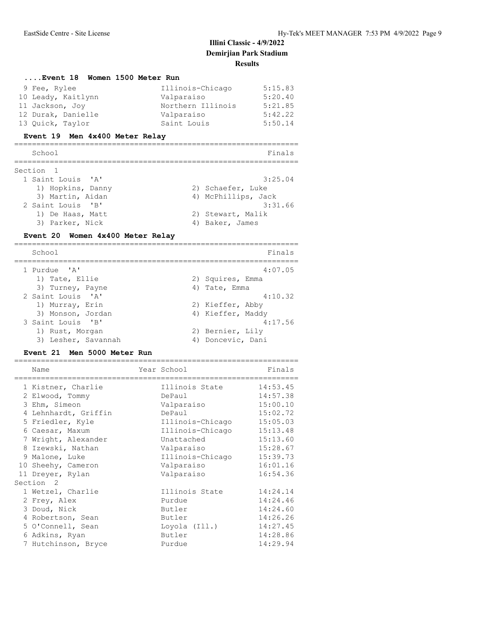| Event 18 Women 1500 Meter Run  |                   |         |
|--------------------------------|-------------------|---------|
| 9 Fee, Rylee                   | Illinois-Chicago  | 5:15.83 |
| 10 Leady, Kaitlynn             | Valparaiso        | 5:20.40 |
| 11 Jackson, Joy                | Northern Illinois | 5:21.85 |
| 12 Durak, Danielle             | Valparaiso        | 5:42.22 |
| 13 Quick, Taylor               | Saint Louis       | 5:50.14 |
| Event 19 Men 4x400 Meter Relay |                   |         |

| School            | Finals              |
|-------------------|---------------------|
| Section 1         |                     |
| 1 Saint Louis 'A' | 3:25.04             |
| 1) Hopkins, Danny | 2) Schaefer, Luke   |
| 3) Martin, Aidan  | 4) McPhillips, Jack |
| 2 Saint Louis 'B' | 3:31.66             |
| 1) De Haas, Matt  | 2) Stewart, Malik   |
| 3) Parker, Nick   | 4) Baker, James     |

#### **Event 20 Women 4x400 Meter Relay**

| School              | Finals            |
|---------------------|-------------------|
| 1 Purdue 'A'        | 4:07.05           |
| 1) Tate, Ellie      | 2) Squires, Emma  |
| 3) Turney, Payne    | 4) Tate, Emma     |
| 2 Saint Louis 'A'   | 4:10.32           |
| 1) Murray, Erin     | 2) Kieffer, Abby  |
| 3) Monson, Jordan   | 4) Kieffer, Maddy |
| 3 Saint Louis 'B'   | 4:17.56           |
| 1) Rust, Morgan     | 2) Bernier, Lily  |
| 3) Lesher, Savannah | 4) Doncevic, Dani |

### **Event 21 Men 5000 Meter Run**

| Name                 | Year School      | Finals   |
|----------------------|------------------|----------|
| 1 Kistner, Charlie   | Illinois State   | 14:53.45 |
| 2 Elwood, Tommy      | DePaul           | 14:57.38 |
| 3 Ehm, Simeon        | Valparaiso       | 15:00.10 |
| 4 Lehnhardt, Griffin | DePaul           | 15:02.72 |
| 5 Friedler, Kyle     | Illinois-Chicago | 15:05.03 |
| 6 Caesar, Maxum      | Illinois-Chicago | 15:13.48 |
| 7 Wright, Alexander  | Unattached       | 15:13.60 |
| 8 Izewski, Nathan    | Valparaiso       | 15:28.67 |
| 9 Malone, Luke       | Illinois-Chicago | 15:39.73 |
| 10 Sheehy, Cameron   | Valparaiso       | 16:01.16 |
| 11 Dreyer, Rylan     | Valparaiso       | 16:54.36 |
| Section <sub>2</sub> |                  |          |
| 1 Wetzel, Charlie    | Illinois State   | 14:24.14 |
| 2 Frey, Alex         | Purdue           | 14:24.46 |
| 3 Doud, Nick         | Butler           | 14:24.60 |
| 4 Robertson, Sean    | Butler           | 14:26.26 |
| 5 O'Connell, Sean    | Loyola (Ill.)    | 14:27.45 |
| 6 Adkins, Ryan       | Butler           | 14:28.86 |
| 7 Hutchinson, Bryce  | Purdue           | 14:29.94 |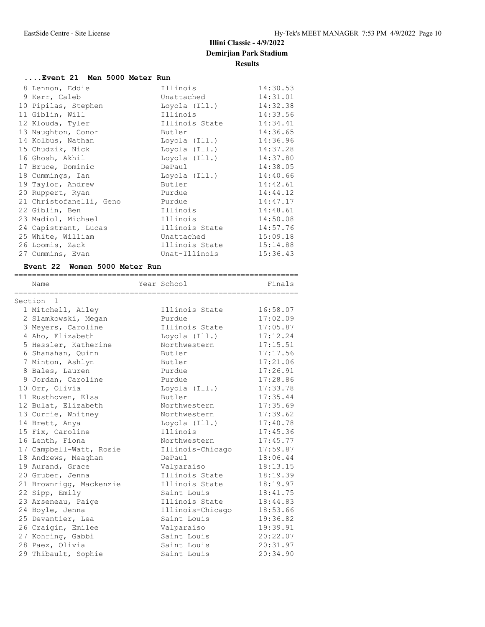| Event 21 Men 5000 Meter Run |  |  |  |
|-----------------------------|--|--|--|
|                             |  |  |  |

|  | 8 Lennon, Eddie         | Illinois                                                                                                                                                                                                                           | 14:30.53 |
|--|-------------------------|------------------------------------------------------------------------------------------------------------------------------------------------------------------------------------------------------------------------------------|----------|
|  | 9 Kerr, Caleb           | Unattached                                                                                                                                                                                                                         | 14:31.01 |
|  | 10 Pipilas, Stephen     | Loyola (Ill.) 14:32.38                                                                                                                                                                                                             |          |
|  | 11 Giblin, Will         | Illinois                                                                                                                                                                                                                           | 14:33.56 |
|  | 12 Klouda, Tyler        | Illinois State 14:34.41                                                                                                                                                                                                            |          |
|  | 13 Naughton, Conor      | <b>Butler</b> and the set of the set of the set of the set of the set of the set of the set of the set of the set of the set of the set of the set of the set of the set of the set of the set of the set of the set of the set of | 14:36.65 |
|  | 14 Kolbus, Nathan       | Loyola (Ill.)                                                                                                                                                                                                                      | 14:36.96 |
|  | 15 Chudzik, Nick        | Loyola (Ill.)                                                                                                                                                                                                                      | 14:37.28 |
|  | 16 Ghosh, Akhil         | Loyola (Ill.)                                                                                                                                                                                                                      | 14:37.80 |
|  | 17 Bruce, Dominic       | DePaul                                                                                                                                                                                                                             | 14:38.05 |
|  | 18 Cummings, Ian        | Loyola (Ill.)                                                                                                                                                                                                                      | 14:40.66 |
|  | 19 Taylor, Andrew       | <b>Butler Example 18</b>                                                                                                                                                                                                           | 14:42.61 |
|  | 20 Ruppert, Ryan        | Purdue                                                                                                                                                                                                                             | 14:44.12 |
|  | 21 Christofanelli, Geno | Purdue                                                                                                                                                                                                                             | 14:47.17 |
|  | 22 Giblin, Ben          | Illinois                                                                                                                                                                                                                           | 14:48.61 |
|  | 23 Madiol, Michael      | Illinois                                                                                                                                                                                                                           | 14:50.08 |
|  | 24 Capistrant, Lucas    | Illinois State                                                                                                                                                                                                                     | 14:57.76 |
|  | 25 White, William       | Unattached                                                                                                                                                                                                                         | 15:09.18 |
|  | 26 Loomis, Zack         | Illinois State                                                                                                                                                                                                                     | 15:14.88 |
|  | 27 Cummins, Evan        | Unat-Illinois                                                                                                                                                                                                                      | 15:36.43 |
|  |                         |                                                                                                                                                                                                                                    |          |

## **Event 22 Women 5000 Meter Run**

| Name                    | Year School      | Finals   |
|-------------------------|------------------|----------|
|                         |                  |          |
| Section 1               |                  |          |
| 1 Mitchell, Ailey       | Illinois State   | 16:58.07 |
| 2 Slamkowski, Megan     | Purdue           | 17:02.09 |
| 3 Meyers, Caroline      | Illinois State   | 17:05.87 |
| 4 Aho, Elizabeth        | Loyola (Ill.)    | 17:12.24 |
| 5 Hessler, Katherine    | Northwestern     | 17:15.51 |
| 6 Shanahan, Quinn       | Butler           | 17:17.56 |
| 7 Minton, Ashlyn        | Butler           | 17:21.06 |
| 8 Bales, Lauren         | Purdue           | 17:26.91 |
| 9 Jordan, Caroline      | Purdue           | 17:28.86 |
| 10 Orr, Olivia          | Loyola (Ill.)    | 17:33.78 |
| 11 Rusthoven, Elsa      | Butler           | 17:35.44 |
| 12 Bulat, Elizabeth     | Northwestern     | 17:35.69 |
| 13 Currie, Whitney      | Northwestern     | 17:39.62 |
| 14 Brett, Anya          | Loyola (Ill.)    | 17:40.78 |
| 15 Fix, Caroline        | Illinois         | 17:45.36 |
| 16 Lenth, Fiona         | Northwestern     | 17:45.77 |
| 17 Campbell-Watt, Rosie | Illinois-Chicago | 17:59.87 |
| 18 Andrews, Meaghan     | DePaul           | 18:06.44 |
| 19 Aurand, Grace        | Valparaiso       | 18:13.15 |
| 20 Gruber, Jenna        | Illinois State   | 18:19.39 |
| 21 Brownrigg, Mackenzie | Illinois State   | 18:19.97 |
| 22 Sipp, Emily          | Saint Louis      | 18:41.75 |
| 23 Arseneau, Paige      | Illinois State   | 18:44.83 |
| 24 Boyle, Jenna         | Illinois-Chicago | 18:53.66 |
| 25 Devantier, Lea       | Saint Louis      | 19:36.82 |
| 26 Craigin, Emilee      | Valparaiso       | 19:39.91 |
| 27 Kohring, Gabbi       | Saint Louis      | 20:22.07 |
| 28 Paez, Olivia         | Saint Louis      | 20:31.97 |
| 29 Thibault, Sophie     | Saint Louis      | 20:34.90 |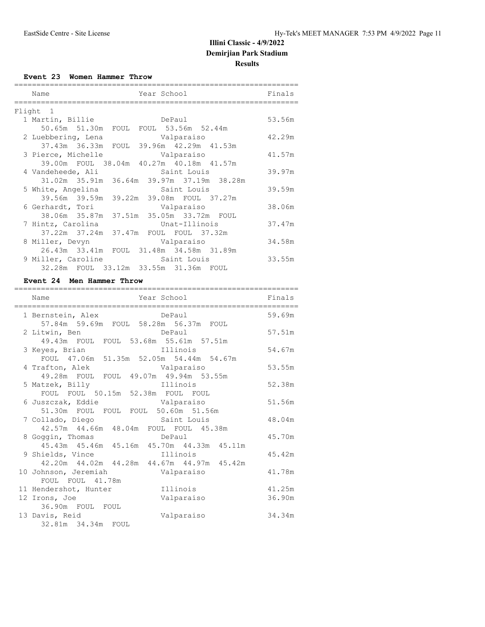**Event 23 Women Hammer Throw**

| Year School<br>Name                       | Finals |
|-------------------------------------------|--------|
| Flight<br>$\overline{1}$                  |        |
| 1 Martin, Billie<br>DePaul                | 53.56m |
| 50.65m 51.30m FOUL FOUL 53.56m 52.44m     |        |
| 2 Luebbering, Lena Comparaiso             | 42.29m |
| 37.43m 36.33m FOUL 39.96m 42.29m 41.53m   |        |
| 3 Pierce, Michelle<br>Valparaiso          | 41.57m |
| 39.00m FOUL 38.04m 40.27m 40.18m 41.57m   |        |
| 4 Vandeheede, Ali<br>Saint Louis          | 39.97m |
| 31.02m 35.91m 36.64m 39.97m 37.19m 38.28m |        |
| 5 White, Angelina<br>Saint Louis          | 39.59m |
| 39.56m 39.59m 39.22m 39.08m FOUL 37.27m   |        |
| 6 Gerhardt, Tori<br>Valparaiso            | 38.06m |
| 38.06m 35.87m 37.51m 35.05m 33.72m FOUL   |        |
| Unat-Illinois<br>7 Hintz, Carolina        | 37.47m |
| 37.22m 37.24m 37.47m FOUL FOUL 37.32m     |        |
| 8 Miller, Devyn<br>Valparaiso             | 34.58m |
| 26.43m 33.41m FOUL 31.48m 34.58m 31.89m   |        |
| 9 Miller, Caroline 5aint Louis            | 33.55m |
| 32.28m FOUL 33.12m 33.55m 31.36m FOUL     |        |

#### **Event 24 Men Hammer Throw**

| Year School<br>Name                                                                                             | Finals |
|-----------------------------------------------------------------------------------------------------------------|--------|
| 1 Bernstein, Alex DePaul DePaul 59.69m<br>57.84m 59.69m FOUL 58.28m 56.37m FOUL                                 |        |
| 2 Litwin, Ben<br><b>Example 2018</b> DePaul                                                                     | 57.51m |
| 49.43m FOUL FOUL 53.68m 55.61m 57.51m<br>3 Keyes, Brian and Illinois<br>FOUL 47.06m 51.35m 52.05m 54.44m 54.67m | 54.67m |
| 4 Trafton, Alek Malparaiso<br>49.28m FOUL FOUL 49.07m 49.94m 53.55m                                             | 53.55m |
| 5 Matzek, Billy <b>Example 11</b> Illinois                                                                      | 52.38m |
| FOUL FOUL 50.15m 52.38m FOUL FOUL<br>6 Juszczak, Eddie                       Valparaiso                         | 51.56m |
| 51.30m FOUL FOUL FOUL 50.60m 51.56m<br>7 Collado, Diego saint Louis<br>42.57m 44.66m 48.04m FOUL FOUL 45.38m    | 48.04m |
| 8 Goggin, Thomas bePaul<br>45.43m  45.46m  45.16m  45.70m  44.33m  45.11m                                       | 45.70m |
| 9 Shields, Vince and Illinois<br>42.20m  44.02m  44.28m  44.67m  44.97m  45.42m                                 | 45.42m |
| 10 Johnson, Jeremiah Malparaiso<br>FOUL FOUL 41.78m                                                             | 41.78m |
| 11 Hendershot, Hunter [11111015]                                                                                | 41.25m |
| 12 Irons, Joe<br>Valparaiso<br>36.90m FOUL FOUL                                                                 | 36.90m |
| 13 Davis, Reid<br>Valparaiso                                                                                    | 34.34m |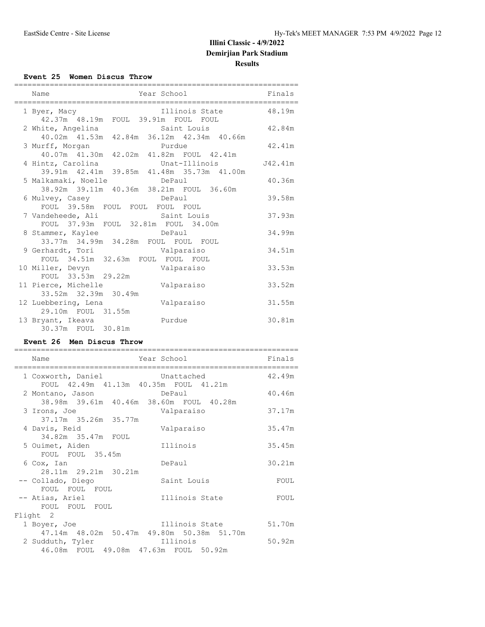#### **Event 25 Women Discus Throw**

| ========                                                                                                                 | _____________________________________ |         |
|--------------------------------------------------------------------------------------------------------------------------|---------------------------------------|---------|
| Name                                                                                                                     | Year School                           | Finals  |
| 1 Byer, Macy 111inois State 48.19m<br>42.37m  48.19m  FOUL  39.91m  FOUL  FOUL                                           |                                       |         |
| 2 White, Angelina Saint Louis 42.84m                                                                                     |                                       |         |
| 40.02m  41.53m  42.84m  36.12m  42.34m  40.66m<br>3 Murff, Morgan Purdue<br>40.07m  41.30m  42.02m  41.82m  FOUL  42.41m |                                       | 42.41m  |
|                                                                                                                          |                                       | J42.41m |
| 39.91m 42.41m 39.85m 41.48m 35.73m 41.00m<br>5 Malkamaki, Noelle bePaul                                                  |                                       | 40.36m  |
| 38.92m 39.11m 40.36m 38.21m FOUL 36.60m<br>6 Mulvey, Casey Casey DePaul                                                  |                                       | 39.58m  |
| FOUL 39.58m FOUL FOUL FOUL FOUL<br>7 Vandeheede, Ali Saint Louis                                                         |                                       | 37.93m  |
| FOUL 37.93m FOUL 32.81m FOUL 34.00m<br>8 Stammer, Kaylee BePaul                                                          |                                       | 34.99m  |
| 33.77m 34.99m 34.28m FOUL FOUL FOUL<br>9 Gerhardt, Tori Valparaiso                                                       |                                       | 34.51m  |
| FOUL 34.51m 32.63m FOUL FOUL FOUL                                                                                        |                                       | 33.53m  |
| FOUL 33.53m 29.22m<br>11 Pierce, Michelle                                                                                | Valparaiso                            | 33.52m  |
| 33.52m 32.39m 30.49m<br>12 Luebbering, Lena                                                                              | Valparaiso                            | 31.55m  |
| 29.10m FOUL 31.55m<br>13 Bryant, Ikeava                                                                                  | Purdue                                | 30.81m  |
| 30.37m FOUL 30.81m                                                                                                       |                                       |         |

#### **Event 26 Men Discus Throw**

| Name                                                                                                        | Year School    | Finals |
|-------------------------------------------------------------------------------------------------------------|----------------|--------|
| 1 Coxworth, Daniel Coxworth, Daniel                                                                         |                | 42.49m |
| FOUL 42.49m 41.13m 40.35m FOUL 41.21m<br>2 Montano, Jason DePaul<br>38.98m 39.61m 40.46m 38.60m FOUL 40.28m |                | 40.46m |
| 3 Irons, Joe<br>37.17m 35.26m 35.77m                                                                        | Valparaiso     | 37.17m |
| 4 Davis, Reid<br>34.82m 35.47m FOUL                                                                         | Valparaiso     | 35.47m |
| 5 Ouimet, Aiden<br>FOUL FOUL 35.45m                                                                         | Illinois       | 35.45m |
| 6 Cox, Ian<br>28.11m 29.21m 30.21m                                                                          | DePaul         | 30.21m |
| -- Collado, Diego<br>FOUL FOUL FOUL                                                                         | Saint Louis    | FOUL   |
| -- Atias, Ariel<br>FOUL FOUL FOUL                                                                           | Illinois State | FOUL   |
| Flight 2                                                                                                    |                |        |
| 1 Boyer, Joe<br>47.14m 48.02m 50.47m 49.80m 50.38m 51.70m                                                   | Illinois State | 51.70m |
| 46.08m FOUL 49.08m 47.63m FOUL 50.92m                                                                       |                | 50.92m |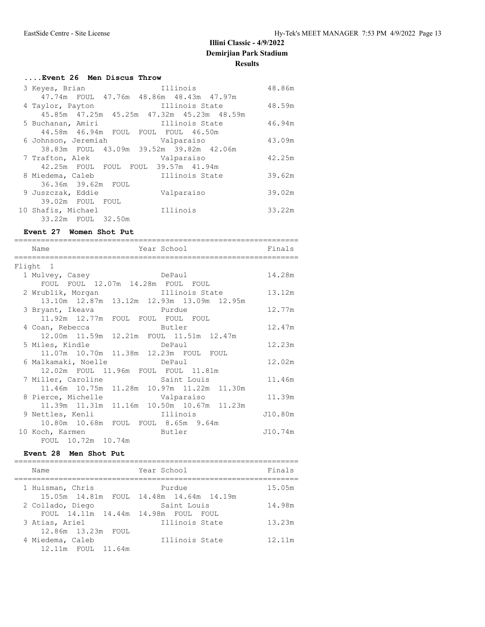## **....Event 26 Men Discus Throw**

| 3 Keyes, Brian<br>47.74m FOUL 47.76m 48.86m 48.43m 47.97m | Illinois       | 48.86m |
|-----------------------------------------------------------|----------------|--------|
| 4 Taylor, Payton                                          | Illinois State | 48.59m |
| 45.85m  47.25m  45.25m  47.32m  45.23m  48.59m            |                |        |
| 5 Buchanan, Amiri                                         | Illinois State | 46.94m |
| 44.58m  46.94m  FOUL  FOUL  FOUL  46.50m                  |                |        |
| 6 Johnson, Jeremiah Malparaiso                            |                | 43.09m |
| 38.83m FOUL 43.09m 39.52m 39.82m 42.06m                   |                |        |
| 7 Trafton, Alek                                           | Valparaiso     | 42.25m |
| 42.25m FOUL FOUL FOUL 39.57m 41.94m                       |                |        |
| 8 Miedema, Caleb                                          | Illinois State | 39.62m |
| 36.36m 39.62m FOUL                                        |                |        |
| 9 Juszczak, Eddie                                         | Valparaiso     | 39.02m |
| 39.02m FOUL FOUL                                          |                |        |
| 10 Shafis, Michael                                        | Illinois       | 33.22m |
| 33.22m FOUL 32.50m                                        |                |        |

#### **Event 27 Women Shot Put**

| Year School<br>Name<br>================================ | Finals  |
|---------------------------------------------------------|---------|
| Flight 1                                                |         |
| 1 Mulvey, Casey<br>DePaul                               | 14.28m  |
| FOUL FOUL 12.07m 14.28m FOUL FOUL                       |         |
| 2 Wrublik, Morgan<br>Illinois State                     | 13.12m  |
| 13.10m  12.87m  13.12m  12.93m  13.09m  12.95m          |         |
| 3 Bryant, Ikeava burdue                                 | 12.77m  |
| 11.92m 12.77m FOUL FOUL FOUL FOUL                       |         |
| 4 Coan, Rebecca<br>Butler                               | 12.47m  |
| 12.00m  11.59m  12.21m  FOUL  11.51m  12.47m            |         |
| <b>DePaul</b><br>5 Miles, Kindle                        | 12.23m  |
| 11.07m  10.70m  11.38m  12.23m  FOUL  FOUL              |         |
| <b>DePaul</b><br>6 Malkamaki, Noelle                    | 12.02m  |
| 12.02m FOUL 11.96m FOUL FOUL 11.81m                     |         |
| 7 Miller, Caroline 5aint Louis                          | 11.46m  |
| 11.46m 10.75m 11.28m 10.97m 11.22m 11.30m               |         |
| 8 Pierce, Michelle Valparaiso                           | 11.39m  |
| 11.39m  11.31m  11.16m  10.50m  10.67m  11.23m          |         |
| 9 Nettles, Kenli                    Illinois            | J10.80m |
| 10.80m 10.68m FOUL FOUL 8.65m 9.64m                     |         |
| <b>Example 1</b> Butler<br>10 Koch, Karmen              | J10.74m |
| FOUL 10.72m 10.74m                                      |         |

#### **Event 28 Men Shot Put**

| Name                           | Year School                                  | Finals |
|--------------------------------|----------------------------------------------|--------|
| 1 Huisman, Chris               | Purdue                                       | 15.05m |
|                                | 15.05m  14.81m  FOUL  14.48m  14.64m  14.19m |        |
| 2 Collado, Diego               | Saint Louis                                  | 14.98m |
| FOUL 14.11m 14.44m 14.98m FOUL | FOUL.                                        |        |
| 3 Atias, Ariel                 | Illinois State                               | 13.23m |
| 12.86m 13.23m FOUL             |                                              |        |
| 4 Miedema, Caleb               | Illinois State                               | 12.11m |
| 12.11m FOUL 11.64m             |                                              |        |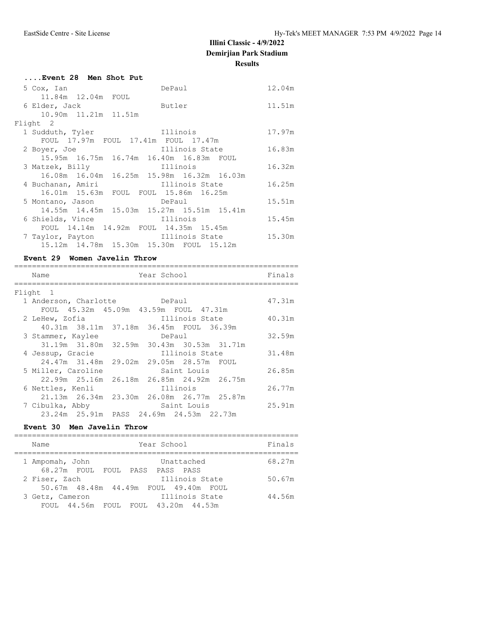|                | 12.04m                                                                                                                                                                                                                                                                                                                                                                                                                                                        |
|----------------|---------------------------------------------------------------------------------------------------------------------------------------------------------------------------------------------------------------------------------------------------------------------------------------------------------------------------------------------------------------------------------------------------------------------------------------------------------------|
|                |                                                                                                                                                                                                                                                                                                                                                                                                                                                               |
|                | 11.51m                                                                                                                                                                                                                                                                                                                                                                                                                                                        |
|                |                                                                                                                                                                                                                                                                                                                                                                                                                                                               |
|                |                                                                                                                                                                                                                                                                                                                                                                                                                                                               |
|                | 17.97m                                                                                                                                                                                                                                                                                                                                                                                                                                                        |
|                |                                                                                                                                                                                                                                                                                                                                                                                                                                                               |
|                | 16.83m                                                                                                                                                                                                                                                                                                                                                                                                                                                        |
|                |                                                                                                                                                                                                                                                                                                                                                                                                                                                               |
|                | 16.32m                                                                                                                                                                                                                                                                                                                                                                                                                                                        |
|                |                                                                                                                                                                                                                                                                                                                                                                                                                                                               |
| Illinois State | 16.25m                                                                                                                                                                                                                                                                                                                                                                                                                                                        |
|                |                                                                                                                                                                                                                                                                                                                                                                                                                                                               |
| DePaul         | 15.51m                                                                                                                                                                                                                                                                                                                                                                                                                                                        |
|                |                                                                                                                                                                                                                                                                                                                                                                                                                                                               |
|                | 15.45m                                                                                                                                                                                                                                                                                                                                                                                                                                                        |
|                |                                                                                                                                                                                                                                                                                                                                                                                                                                                               |
|                | 15.30m                                                                                                                                                                                                                                                                                                                                                                                                                                                        |
| 15.12m         |                                                                                                                                                                                                                                                                                                                                                                                                                                                               |
|                | DePaul<br><b>Example 1</b> Butler<br>Illinois<br>FOUL 17.97m FOUL 17.41m FOUL 17.47m<br>Illinois State<br>15.95m 16.75m 16.74m 16.40m 16.83m FOUL<br>Illinois<br>16.08m  16.04m  16.25m  15.98m  16.32m  16.03m<br>16.01m 15.63m FOUL FOUL 15.86m 16.25m<br>5 Montano, Jason<br>14.55m 14.45m 15.03m 15.27m 15.51m 15.41m<br>6 Shields, Vince and Illinois<br>FOUL 14.14m 14.92m FOUL 14.35m 15.45m<br>Illinois State<br>15.12m  14.78m  15.30m  15.30m  FOUL |

### **Event 29 Women Javelin Throw**

| Name                  | Year School                               | Finals |
|-----------------------|-------------------------------------------|--------|
| Flight 1              |                                           |        |
| 1 Anderson, Charlotte | DePaul                                    | 47.31m |
|                       | FOUL 45.32m 45.09m 43.59m FOUL 47.31m     |        |
| 2 LeHew, Zofia        | Illinois State                            | 40.31m |
|                       | 40.31m 38.11m 37.18m 36.45m FOUL 36.39m   |        |
| 3 Stammer, Kaylee     | DePaul                                    | 32.59m |
|                       | 31.19m 31.80m 32.59m 30.43m 30.53m 31.71m |        |
| 4 Jessup, Gracie      | Illinois State                            | 31.48m |
|                       | 24.47m 31.48m 29.02m 29.05m 28.57m FOUL   |        |
| 5 Miller, Caroline    | Saint Louis                               | 26.85m |
|                       | 22.99m 25.16m 26.18m 26.85m 24.92m 26.75m |        |
| 6 Nettles, Kenli      | Illinois                                  | 26.77m |
|                       | 21.13m 26.34m 23.30m 26.08m 26.77m 25.87m |        |
| 7 Cibulka, Abby       | Saint Louis                               | 25.91m |
|                       | 23.24m 25.91m PASS 24.69m 24.53m 22.73m   |        |

## **Event 30 Men Javelin Throw**

| Year School<br>Name                                                      | Finals |
|--------------------------------------------------------------------------|--------|
| Unattached<br>1 Ampomah, John<br>68.27m FOUL FOUL PASS PASS PASS         | 68.27m |
| Illinois State<br>2 Fiser, Zach<br>50.67m 48.48m 44.49m FOUL 49.40m FOUL | 50.67m |
| Illinois State<br>3 Getz, Cameron<br>FOUL 44.56m FOUL FOUL 43.20m 44.53m | 44.56m |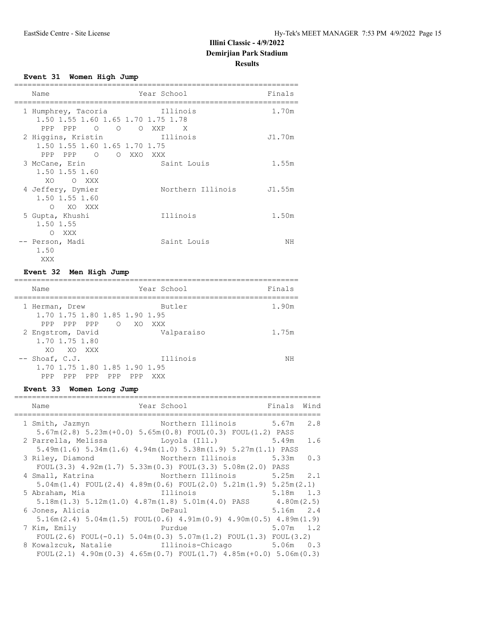#### **Event 31 Women High Jump**

| Name                                                                           | Year School              | Finals |
|--------------------------------------------------------------------------------|--------------------------|--------|
| 1 Humphrey, Tacoria<br>1.50 1.55 1.60 1.65 1.70 1.75 1.78<br>PPP PPP 0 0 0 XXP | Illinois<br>$\mathsf{X}$ | 1.70m  |
| 2 Higgins, Kristin<br>1.50 1.55 1.60 1.65 1.70 1.75<br>PPP PPP 0 0 XXO         | Illinois<br>XXX X        | J1.70m |
| 3 McCane, Erin<br>1.50 1.55 1.60<br>XO.<br>O XXX                               | Saint Louis              | 1.55m  |
| 4 Jeffery, Dymier<br>1.50 1.55 1.60<br>O XO XXX                                | Northern Illinois J1.55m |        |
| 5 Gupta, Khushi<br>1.50 1.55<br>XXX<br>$\bigcirc$                              | Illinois                 | 1.50m  |
| -- Person, Madi<br>1.50<br>XXX                                                 | Saint Louis              | NΗ     |

## **Event 32 Men High Jump**

| Name                                                                         | Year School                   | Finals |
|------------------------------------------------------------------------------|-------------------------------|--------|
| 1 Herman, Drew<br>1,70 1,75 1,80 1,85 1,90 1,95<br>PPP<br>PPP PPP            | Butler<br>$\bigcap$<br>XO XXX | 1.90m  |
| 2 Engstrom, David<br>1.70 1.75 1.80<br>XO XO XXX                             | Valparaiso                    | 1.75m  |
| $--$ Shoaf, C.J.<br>1.70 1.75 1.80 1.85 1.90 1.95<br>PPP PPP PPP PPP<br>PPP. | Illinois<br>XXX               | ΝH     |

## **Event 33 Women Long Jump**

| Name                                                                                          | Year School                 | Finals Wind |     |
|-----------------------------------------------------------------------------------------------|-----------------------------|-------------|-----|
| 1 Smith, Jazmyn                                                                               | Northern Illinois 5.67m 2.8 |             |     |
| $5.67m(2.8)$ $5.23m(+0.0)$ $5.65m(0.8)$ FOUL $(0.3)$ FOUL $(1.2)$ PASS                        |                             |             |     |
| 2 Parrella, Melissa                Loyola (Ill.)                 5.49m                        |                             |             | 1.6 |
| $5.49$ m $(1.6)$ $5.34$ m $(1.6)$ $4.94$ m $(1.0)$ $5.38$ m $(1.9)$ $5.27$ m $(1.1)$ PASS     |                             |             |     |
| 3 Riley, Diamond                                                                              | Northern Illinois 5.33m     |             | 0.3 |
| FOUL $(3.3)$ 4.92m $(1.7)$ 5.33m $(0.3)$ FOUL $(3.3)$ 5.08m $(2.0)$ PASS                      |                             |             |     |
| 4 Small, Katrina                                                                              | Northern Illinois 5.25m 2.1 |             |     |
| $5.04$ m $(1.4)$ FOUL $(2.4)$ $4.89$ m $(0.6)$ FOUL $(2.0)$ $5.21$ m $(1.9)$ $5.25$ m $(2.1)$ |                             |             |     |
| Illinois<br>5 Abraham, Mia                                                                    |                             | $5.18m$ 1.3 |     |
| $5.18$ m $(1.3)$ $5.12$ m $(1.0)$ $4.87$ m $(1.8)$ $5.01$ m $(4.0)$ PASS $4.80$ m $(2.5)$     |                             |             |     |
| 6 Jones, Alicia                                                                               | DePaul                      | $5.16m$ 2.4 |     |
| $5.16$ m (2.4) $5.04$ m (1.5) FOUL (0.6) $4.91$ m (0.9) $4.90$ m (0.5) $4.89$ m (1.9)         |                             |             |     |
| 7 Kim, Emily                                                                                  | Purdue                      | $5.07m$ 1.2 |     |
| FOUL(2.6) FOUL(-0.1) $5.04m(0.3)$ $5.07m(1.2)$ FOUL(1.3) FOUL(3.2)                            |                             |             |     |
| 8 Kowalzcuk, Natalie and Illinois-Chicago 5.06m 0.3                                           |                             |             |     |
| FOUL $(2.1)$ 4.90m $(0.3)$ 4.65m $(0.7)$ FOUL $(1.7)$ 4.85m $(+0.0)$ 5.06m $(0.3)$            |                             |             |     |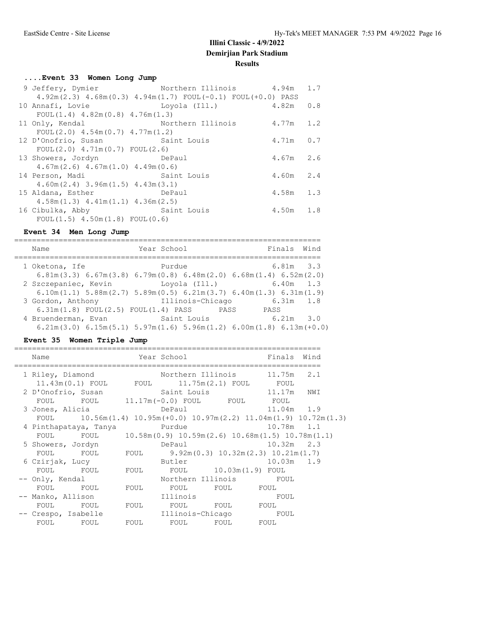## **....Event 33 Women Long Jump**

| 9 Jeffery, Dymier                                                       | Northern Illinois 54.94m 1.7 |             |     |
|-------------------------------------------------------------------------|------------------------------|-------------|-----|
| $4.92m(2.3)$ $4.68m(0.3)$ $4.94m(1.7)$ FOUL $(-0.1)$ FOUL $(+0.0)$ PASS |                              |             |     |
| 10 Annafi, Lovie                                                        | Loyola (Ill.) 4.82m          |             | 0.8 |
| $FOUL(1.4)$ 4.82m(0.8) 4.76m(1.3)                                       |                              |             |     |
| 11 Only, Kendal                                                         | Northern Illinois 4.77m 1.2  |             |     |
| FOUL $(2.0)$ 4.54m $(0.7)$ 4.77m $(1.2)$                                |                              |             |     |
| 12 D'Onofrio, Susan Saint Louis                                         |                              | $4.71m$ 0.7 |     |
| $FOUL(2.0)$ 4.71m $(0.7)$ FOUL $(2.6)$                                  |                              |             |     |
| 13 Showers, Jordyn<br><b>Example Paul</b> DePaul                        |                              | $4.67m$ 2.6 |     |
| $4.67m(2.6)$ $4.67m(1.0)$ $4.49m(0.6)$                                  |                              |             |     |
| 14 Person, Madi Saint Louis                                             |                              | $4.60m$ 2.4 |     |
| $4.60m(2.4)$ 3.96m $(1.5)$ 4.43m $(3.1)$                                |                              |             |     |
| <b>DePaul</b><br>15 Aldana, Esther                                      |                              | $4.58m$ 1.3 |     |
| $4.58m(1.3)$ $4.41m(1.1)$ $4.36m(2.5)$                                  |                              |             |     |
| Saint Louis<br>16 Cibulka, Abby                                         |                              | $4.50m$ 1.8 |     |
| FOUL $(1.5)$ 4.50m $(1.8)$ FOUL $(0.6)$                                 |                              |             |     |

#### **Event 34 Men Long Jump**

| Name                                        | Year School                                                                                            | Finals Wind   |
|---------------------------------------------|--------------------------------------------------------------------------------------------------------|---------------|
| 1 Oketona, Ife                              | Purdue                                                                                                 | $6.81m$ $3.3$ |
|                                             | $6.81m(3.3)$ $6.67m(3.8)$ $6.79m(0.8)$ $6.48m(2.0)$ $6.68m(1.4)$ $6.52m(2.0)$                          |               |
| 2 Szczepaniec, Kevin                        | Loyola (Ill.)                                                                                          | $6.40m$ 1.3   |
|                                             | $6.10$ m $(1.1)$ 5.88m $(2.7)$ 5.89m $(0.5)$ 6.21m $(3.7)$ 6.40m $(1.3)$ 6.31m $(1.9)$                 |               |
| 3 Gordon, Anthony                           | Illinois-Chicago                                                                                       | $6.31m$ 1.8   |
| $6.31m(1.8)$ FOUL $(2.5)$ FOUL $(1.4)$ PASS | PASS                                                                                                   | PASS          |
| 4 Bruenderman, Evan                         | Saint Louis                                                                                            | $6.21m$ $3.0$ |
|                                             | $6.21$ m $(3.0)$ $6.15$ m $(5.1)$ $5.97$ m $(1.6)$ $5.96$ m $(1.2)$ $6.00$ m $(1.8)$ $6.13$ m $(+0.0)$ |               |

# **Event 35 Women Triple Jump**

| Year School and Finals Wind<br>Name                                              |  |                              |              |  |
|----------------------------------------------------------------------------------|--|------------------------------|--------------|--|
| 1 Riley, Diamond                                                                 |  | Northern Illinois 11.75m 2.1 |              |  |
| $11.43\text{m}(0.1)$ FOUL FOUL $11.75\text{m}(2.1)$ FOUL FOUL                    |  |                              |              |  |
|                                                                                  |  |                              |              |  |
| FOUL FOUL 11.17m(-0.0) FOUL FOUL FOUL                                            |  |                              |              |  |
| 3 Jones, Alicia                       DePaul                       11.04m   1.9  |  |                              |              |  |
| FOUL 10.56m $(1.4)$ 10.95m $(+0.0)$ 10.97m $(2.2)$ 11.04m $(1.9)$ 10.72m $(1.3)$ |  |                              |              |  |
| 4 Pinthapataya, Tanya     Purdue                                                 |  |                              | $10.78m$ 1.1 |  |
| FOUL FOUL $10.58m(0.9) 10.59m(2.6) 10.68m(1.5) 10.78m(1.1)$                      |  |                              |              |  |
| 5 Showers, Jordyn BePaul 2.3                                                     |  |                              |              |  |
| FOUL FOUL FOUL $9.92m(0.3) 10.32m(2.3) 10.21m(1.7)$                              |  |                              |              |  |
|                                                                                  |  |                              |              |  |
| FOUL FOUL FOUL FOUL 10.03m(1.9) FOUL                                             |  |                              |              |  |
| -- Only, Kendal                                                                  |  | Northern Illinois FOUL       |              |  |
| FOUL FOUL FOUL FOUL FOUL FOUL FOUL                                               |  |                              |              |  |
|                                                                                  |  |                              |              |  |
| FOUL FOUL FOUL FOUL FOUL FOUL FOUL                                               |  |                              |              |  |
| -- Crespo, Isabelle              Illinois-Chicago              FOUL              |  |                              |              |  |
| FOUL FOUL FOUL FOUL FOUL FOUL FOUL                                               |  |                              |              |  |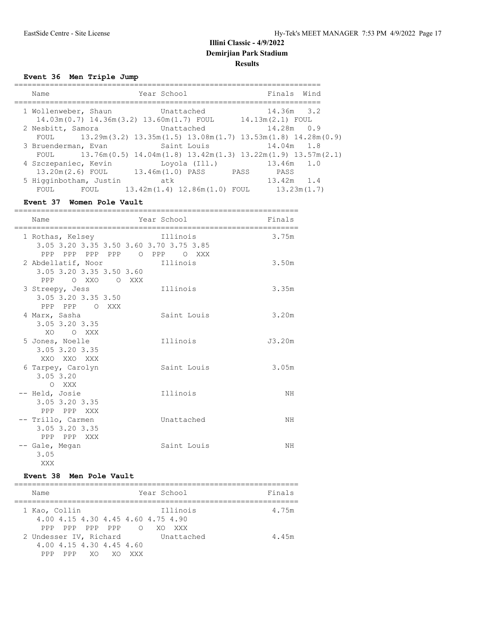#### **Event 36 Men Triple Jump**

| Name                                                             | Year School                                                                                             | Finals Wind                        |
|------------------------------------------------------------------|---------------------------------------------------------------------------------------------------------|------------------------------------|
| 1 Wollenweber, Shaun<br>14.03m(0.7) 14.36m(3.2) 13.60m(1.7) FOUL | Unattached                                                                                              | $14.36m$ 3.2<br>$14.13m(2.1)$ FOUL |
| 2 Nesbitt, Samora<br>FOUL                                        | Unattached<br>$13.29$ m $(3.2)$ $13.35$ m $(1.5)$ $13.08$ m $(1.7)$ $13.53$ m $(1.8)$ $14.28$ m $(0.9)$ | $14.28m$ 0.9                       |
| 3 Bruenderman, Evan<br>FOUL                                      | Saint Louis<br>$13.76m(0.5)$ $14.04m(1.8)$ $13.42m(1.3)$ $13.22m(1.9)$ $13.57m(2.1)$                    | 14.04m 1.8                         |
| 4 Szczepaniec, Kevin<br>13.20m(2.6) FOUL                         | Loyola (Ill.)<br>13.46m(1.0) PASS                                                                       | $13.46m$ $1.0$<br>PASS<br>PASS     |
| 5 Higginbotham, Justin<br>FOUL<br>FOUL                           | atk<br>$13.42m(1.4)$ $12.86m(1.0)$ FOUL                                                                 | $13.42m$ 1.4<br>13.23m(1.7)        |

#### **Event 37 Women Pole Vault**

| =========<br>Name                                               | ===================================<br>Year School                                 | Finals |
|-----------------------------------------------------------------|------------------------------------------------------------------------------------|--------|
| 1 Rothas, Kelsey                                                | Illinois<br>3.05 3.20 3.35 3.50 3.60 3.70 3.75 3.85<br>PPP PPP PPP PPP O PPP O XXX | 3.75m  |
| 2 Abdellatif, Noor<br>3.05 3.20 3.35 3.50 3.60<br>PPP OXXO OXXX | Illinois                                                                           | 3.50m  |
| 3 Streepy, Jess<br>3.05 3.20 3.35 3.50<br>PPP PPP O XXX         | Illinois                                                                           | 3.35m  |
| 4 Marx, Sasha<br>3.05 3.20 3.35<br>XO.<br>O XXX                 | Saint Louis                                                                        | 3.20m  |
| 5 Jones, Noelle<br>3.05 3.20 3.35<br>XXO XXO XXX                | Illinois                                                                           | J3.20m |
| 6 Tarpey, Carolyn<br>3.05 3.20<br>O XXX                         | Saint Louis                                                                        | 3.05m  |
| -- Held, Josie<br>3.05 3.20 3.35<br>PPP PPP XXX                 | Illinois                                                                           | NH     |
| -- Trillo, Carmen<br>3.05 3.20 3.35<br>PPP PPP XXX              | Unattached                                                                         | ΝH     |
| -- Gale, Megan<br>3.05<br>XXX                                   | Saint Louis                                                                        | ΝH     |

#### **Event 38 Men Pole Vault**

| Name                                                                         | Year School                                 | Finals |
|------------------------------------------------------------------------------|---------------------------------------------|--------|
| 1 Kao, Collin<br>4,00 4,15 4,30 4,45 4,60 4,75 4,90<br>PPP PPP PPP<br>PPP    | Illinois<br>$\bigcirc$<br>XO.<br><b>XXX</b> | 4.75m  |
| 2 Undesser IV, Richard<br>4,00 4,15 4,30 4,45 4,60<br>PPP<br>XO<br>PPP<br>XO | Unattached<br>XXX                           | 4.45m  |